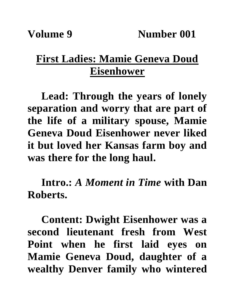## **First Ladies: Mamie Geneva Doud Eisenhower**

**Lead: Through the years of lonely separation and worry that are part of the life of a military spouse, Mamie Geneva Doud Eisenhower never liked it but loved her Kansas farm boy and was there for the long haul.**

**Intro.:** *A Moment in Time* **with Dan Roberts.**

**Content: Dwight Eisenhower was a second lieutenant fresh from West Point when he first laid eyes on Mamie Geneva Doud, daughter of a wealthy Denver family who wintered**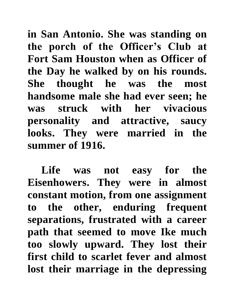**in San Antonio. She was standing on the porch of the Officer's Club at Fort Sam Houston when as Officer of the Day he walked by on his rounds. She thought he was the most handsome male she had ever seen; he was struck with her vivacious personality and attractive, saucy looks. They were married in the summer of 1916.** 

Life was not easy for the **Eisenhowers. They were in almost constant motion, from one assignment to the other, enduring frequent separations, frustrated with a career path that seemed to move Ike much too slowly upward. They lost their first child to scarlet fever and almost lost their marriage in the depressing**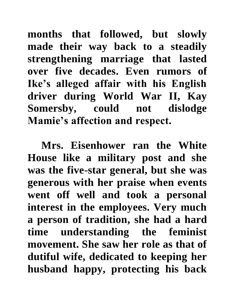**months that followed, but slowly made their way back to a steadily strengthening marriage that lasted over five decades. Even rumors of Ike's alleged affair with his English driver during World War II, Kay Somersby, could not dislodge Mamie's affection and respect.** 

**Mrs. Eisenhower ran the White House like a military post and she was the five-star general, but she was generous with her praise when events went off well and took a personal interest in the employees. Very much a person of tradition, she had a hard time understanding the feminist movement. She saw her role as that of dutiful wife, dedicated to keeping her husband happy, protecting his back**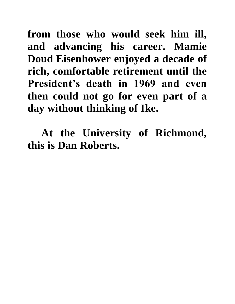**from those who would seek him ill, and advancing his career. Mamie Doud Eisenhower enjoyed a decade of rich, comfortable retirement until the President's death in 1969 and even then could not go for even part of a day without thinking of Ike.**

**At the University of Richmond, this is Dan Roberts.**